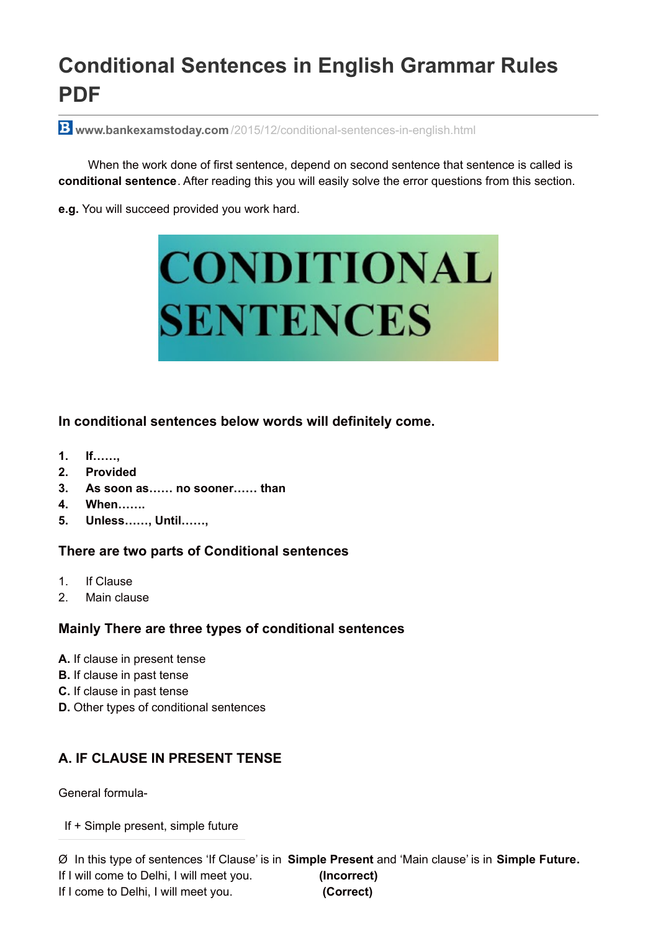# **Conditional Sentences in English Grammar Rules PDF**

**www.bankexamstoday.com** [/2015/12/conditional-sentences-in-english.html](http://www.bankexamstoday.com/2015/12/conditional-sentences-in-english.html)

When the work done of first sentence, depend on second sentence that sentence is called is **conditional sentence**. After reading this you will easily solve the error questions from this section.

**e.g.** You will succeed provided you work hard.



**In conditional sentences below words will definitely come.**

- **1. If……,**
- **2. Provided**
- **3. As soon as…… no sooner…… than**
- **4. When…….**
- **5. Unless……, Until……,**

#### **There are two parts of Conditional sentences**

- 1. If Clause
- 2. Main clause

## **Mainly There are three types of conditional sentences**

- **A.** If clause in present tense
- **B.** If clause in past tense
- **C.** If clause in past tense
- **D.** Other types of conditional sentences

# **A. IF CLAUSE IN PRESENT TENSE**

General formula-

If + Simple present, simple future

Ø In this type of sentences 'If Clause' is in **Simple Present** and 'Main clause' is in **Simple Future.** If I will come to Delhi, I will meet you. **(Incorrect)** If I come to Delhi, I will meet you. **(Correct)**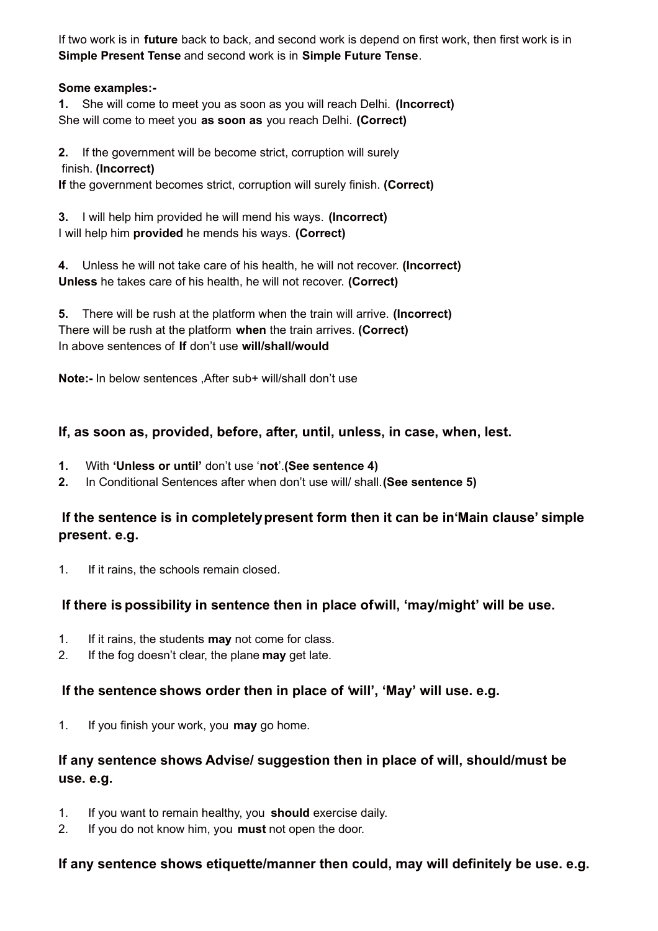If two work is in **future** back to back, and second work is depend on first work, then first work is in **Simple Present Tense** and second work is in **Simple Future Tense**.

#### **Some examples:-**

**1.** She will come to meet you as soon as you will reach Delhi. **(Incorrect)** She will come to meet you **as soon as** you reach Delhi. **(Correct)**

**2.** If the government will be become strict, corruption will surely

#### finish. **(Incorrect)**

**If** the government becomes strict, corruption will surely finish. **(Correct)**

**3.** I will help him provided he will mend his ways. **(Incorrect)** I will help him **provided** he mends his ways. **(Correct)**

**4.** Unless he will not take care of his health, he will not recover. **(Incorrect) Unless** he takes care of his health, he will not recover. **(Correct)**

**5.** There will be rush at the platform when the train will arrive. **(Incorrect)** There will be rush at the platform **when** the train arrives. **(Correct)** In above sentences of **If** don't use **will/shall/would**

**Note:-** In below sentences ,After sub+ will/shall don't use

## **If, as soon as, provided, before, after, until, unless, in case, when, lest.**

- **1.** With **'Unless or until'** don't use '**not**'.**(See sentence 4)**
- **2.** In Conditional Sentences after when don't use will/ shall.**(See sentence 5)**

# **If the sentence is in completelypresent form then it can be in'Main clause' simple present. e.g.**

1. If it rains, the schools remain closed.

## **If there is possibility in sentence then in place ofwill, 'may/might' will be use.**

- 1. If it rains, the students **may** not come for class.
- 2. If the fog doesn't clear, the plane **may** get late.

## **If the sentence shows order then in place of 'will', 'May' will use. e.g.**

1. If you finish your work, you **may** go home.

# **If any sentence shows Advise/ suggestion then in place of will, should/must be use. e.g.**

- 1. If you want to remain healthy, you **should** exercise daily.
- 2. If you do not know him, you **must** not open the door.

## **If any sentence shows etiquette/manner then could, may will definitely be use. e.g.**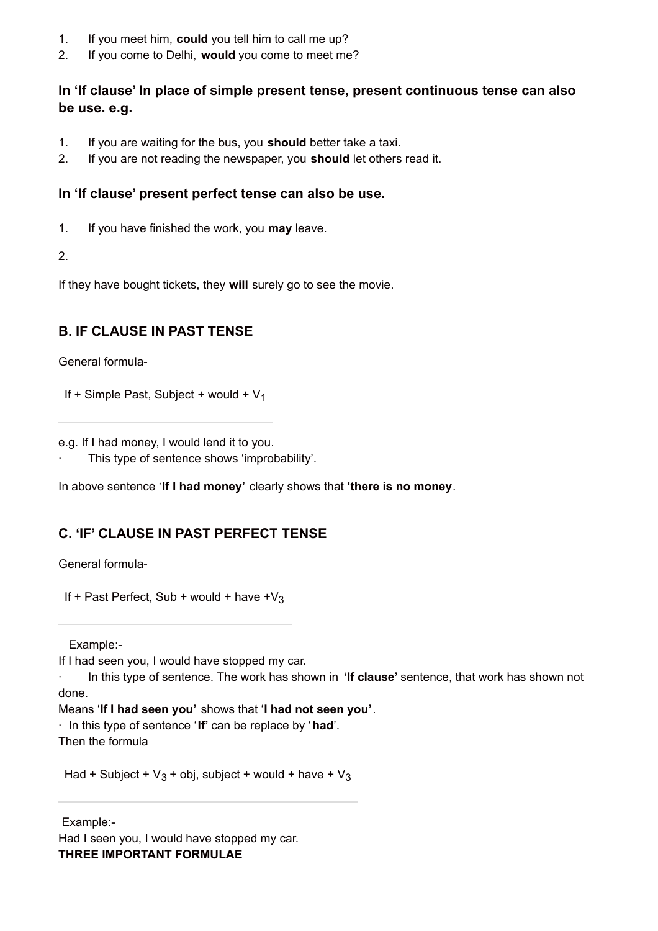- 1. If you meet him, **could** you tell him to call me up?
- 2. If you come to Delhi, **would** you come to meet me?

## **In 'If clause' In place of simple present tense, present continuous tense can also be use. e.g.**

- 1. If you are waiting for the bus, you **should** better take a taxi.
- 2. If you are not reading the newspaper, you **should** let others read it.

#### **In 'If clause' present perfect tense can also be use.**

1. If you have finished the work, you **may** leave.

2.

If they have bought tickets, they **will** surely go to see the movie.

## **B. IF CLAUSE IN PAST TENSE**

General formula-

If + Simple Past, Subject + would +  $V_1$ 

e.g. If I had money, I would lend it to you.

· This type of sentence shows 'improbability'.

In above sentence '**If I had money'** clearly shows that **'there is no money**.

## **C. 'IF' CLAUSE IN PAST PERFECT TENSE**

General formula-

If + Past Perfect, Sub + would + have  $\pm V_3$ 

Example:-

If I had seen you, I would have stopped my car.

· In this type of sentence. The work has shown in **'If clause'** sentence, that work has shown not done.

Means '**If I had seen you'** shows that '**I had not seen you'**.

· In this type of sentence '**If'** can be replace by '**had**'.

Then the formula

Had + Subject +  $V_3$  + obj, subject + would + have +  $V_3$ 

Example:- Had I seen you, I would have stopped my car. **THREE IMPORTANT FORMULAE**